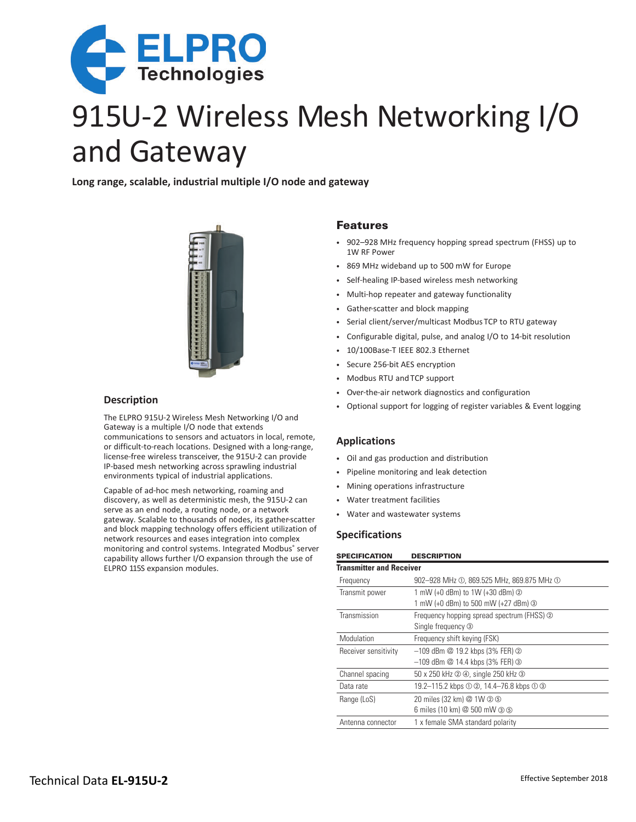

# 915U-2 Wireless Mesh Networking I/O and Gateway

**Long range, scalable, industrial multiple I/O node and gateway**



## **Description**

The ELPRO 915U-2 Wireless Mesh Networking I/O and Gateway is a multiple I/O node that extends communications to sensors and actuators in local, remote, or difficult-to-reach locations. Designed with a long-range, license-free wireless transceiver, the 915U-2 can provide IP-based mesh networking across sprawling industrial environments typical of industrial applications.

Capable of ad-hoc mesh networking, roaming and discovery, as well as deterministic mesh, the 915U-2 can serve as an end node, a routing node, or a network gateway. Scalable to thousands of nodes, its gather-scatter and block mapping technology offers efficient utilization of network resources and eases integration into complex monitoring and control systems. Integrated Modbus® server capability allows further I/O expansion through the use of ELPRO 115S expansion modules.

## Features

- 902–928 MHz frequency hopping spread spectrum (FHSS) up to 1W RF Power
- 869 MHz wideband up to 500 mW for Europe
- Self-healing IP-based wireless mesh networking
- Multi-hop repeater and gateway functionality
- Gather-scatter and block mapping
- Serial client/server/multicast Modbus TCP to RTU gateway
- Configurable digital, pulse, and analog I/O to 14-bit resolution
- 10/100Base-T IEEE 802.3 Ethernet
- Secure 256-bit AES encryption
- Modbus RTU and TCP support
- Over-the-air network diagnostics and configuration
- Optional support for logging of register variables & Event logging

#### **Applications**

- Oil and gas production and distribution
- Pipeline monitoring and leak detection
- Mining operations infrastructure
- Water treatment facilities
- Water and wastewater systems

#### **Specifications**

| <b>SPECIFICATION</b>            | <b>DESCRIPTION</b>                         |  |  |  |  |
|---------------------------------|--------------------------------------------|--|--|--|--|
| <b>Transmitter and Receiver</b> |                                            |  |  |  |  |
| Frequency                       | 902-928 MHz ①, 869.525 MHz, 869.875 MHz ①  |  |  |  |  |
| Transmit power                  | 1 mW (+0 dBm) to 1W (+30 dBm) ②            |  |  |  |  |
|                                 | 1 mW (+0 dBm) to 500 mW (+27 dBm) 3        |  |  |  |  |
| Transmission                    | Frequency hopping spread spectrum (FHSS) 2 |  |  |  |  |
|                                 | Single frequency 3                         |  |  |  |  |
| Modulation                      | Frequency shift keying (FSK)               |  |  |  |  |
| Receiver sensitivity            | $-109$ dBm $@$ 19.2 kbps (3% FER) $@$      |  |  |  |  |
|                                 | $-109$ dBm $@$ 14.4 kbps (3% FER) $@$      |  |  |  |  |
| Channel spacing                 | 50 x 250 kHz 2 4, single 250 kHz 3         |  |  |  |  |
| Data rate                       | 19.2-115.2 kbps ① ②, 14.4-76.8 kbps ① ③    |  |  |  |  |
| Range (LoS)                     | 20 miles (32 km) @ 1W 2 5                  |  |  |  |  |
|                                 | 6 miles (10 km) @ 500 mW 3 5               |  |  |  |  |
| Antenna connector               | 1 x female SMA standard polarity           |  |  |  |  |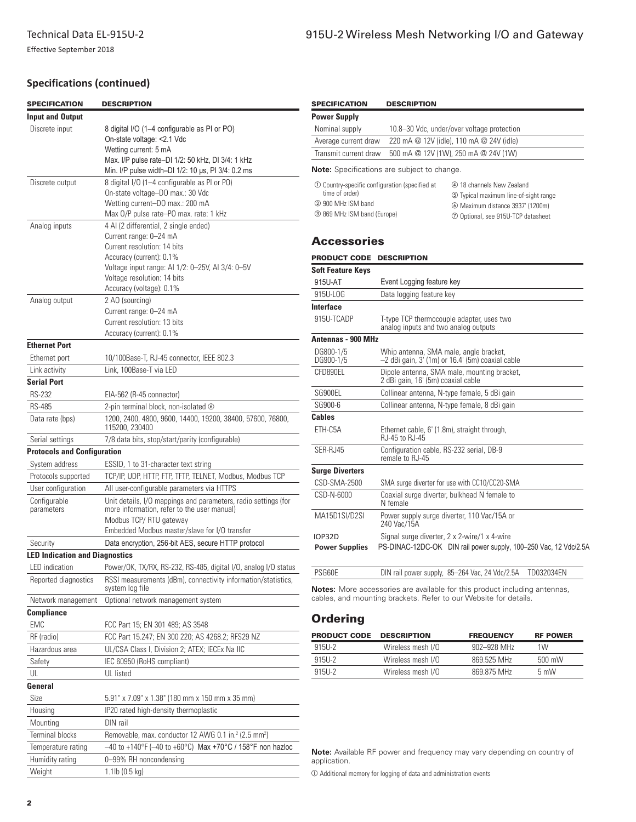# **Specifications (continued)**

| <b>SPECIFICATION</b>                  | <b>DESCRIPTION</b>                                                                                                                                            | <b>SPECIFICATION</b>                                                | <b>DESCRIPTION</b>                                                                                                                             |                                                                                                                                              |                 |  |
|---------------------------------------|---------------------------------------------------------------------------------------------------------------------------------------------------------------|---------------------------------------------------------------------|------------------------------------------------------------------------------------------------------------------------------------------------|----------------------------------------------------------------------------------------------------------------------------------------------|-----------------|--|
| <b>Input and Output</b>               |                                                                                                                                                               | <b>Power Supply</b>                                                 |                                                                                                                                                |                                                                                                                                              |                 |  |
| Discrete input                        | 8 digital I/O (1-4 configurable as PI or PO)                                                                                                                  | Nominal supply                                                      |                                                                                                                                                | 10.8-30 Vdc, under/over voltage protection                                                                                                   |                 |  |
|                                       | On-state voltage: <2.1 Vdc                                                                                                                                    | 220 mA @ 12V (idle), 110 mA @ 24V (idle)<br>Average current draw    |                                                                                                                                                |                                                                                                                                              |                 |  |
|                                       | Wetting current: 5 mA                                                                                                                                         | Transmit current draw<br>500 mA @ 12V (1W), 250 mA @ 24V (1W)       |                                                                                                                                                |                                                                                                                                              |                 |  |
|                                       | Max. I/P pulse rate-DI 1/2: 50 kHz, DI 3/4: 1 kHz<br>Min. I/P pulse width-DI 1/2: 10 us, PI 3/4: 0.2 ms                                                       | <b>Note:</b> Specifications are subject to change.                  |                                                                                                                                                |                                                                                                                                              |                 |  |
| Discrete output                       | 8 digital I/O (1-4 configurable as PI or PO)<br>On-state voltage-DO max.: 30 Vdc<br>Wetting current-DO max.: 200 mA<br>Max 0/P pulse rate-P0 max. rate: 1 kHz | time of order)<br>2 900 MHz ISM band<br>3 869 MHz ISM band (Europe) | 10 Country-specific configuration (specified at                                                                                                | 4 18 channels New Zealand<br>5 Typical maximum line-of-sight range<br>6 Maximum distance 3937' (1200m)<br>2 Optional, see 915U-TCP datasheet |                 |  |
| Analog inputs                         | 4 Al (2 differential, 2 single ended)<br>Current range: 0-24 mA<br>Current resolution: 14 bits                                                                | <b>Accessories</b>                                                  |                                                                                                                                                |                                                                                                                                              |                 |  |
|                                       | Accuracy (current): 0.1%                                                                                                                                      |                                                                     | PRODUCT CODE DESCRIPTION                                                                                                                       |                                                                                                                                              |                 |  |
|                                       | Voltage input range: Al 1/2: 0-25V, Al 3/4: 0-5V                                                                                                              | <b>Soft Feature Keys</b>                                            |                                                                                                                                                |                                                                                                                                              |                 |  |
|                                       | Voltage resolution: 14 bits                                                                                                                                   | 915U-AT                                                             | Event Logging feature key                                                                                                                      |                                                                                                                                              |                 |  |
|                                       | Accuracy (voltage): 0.1%                                                                                                                                      | 915U-LOG                                                            | Data logging feature key                                                                                                                       |                                                                                                                                              |                 |  |
| Analog output                         | 2 AO (sourcing)                                                                                                                                               | Interface                                                           |                                                                                                                                                |                                                                                                                                              |                 |  |
|                                       | Current range: 0-24 mA                                                                                                                                        | 915U-TCADP<br>T-type TCP thermocouple adapter, uses two             |                                                                                                                                                |                                                                                                                                              |                 |  |
|                                       | Current resolution: 13 bits<br>Accuracy (current): 0.1%                                                                                                       |                                                                     | analog inputs and two analog outputs                                                                                                           |                                                                                                                                              |                 |  |
| <b>Ethernet Port</b>                  |                                                                                                                                                               | Antennas - 900 MHz                                                  |                                                                                                                                                |                                                                                                                                              |                 |  |
| Ethernet port                         | DG800-1/5<br>Whip antenna, SMA male, angle bracket,<br>10/100Base-T, RJ-45 connector, IEEE 802.3                                                              |                                                                     |                                                                                                                                                |                                                                                                                                              |                 |  |
| Link activity                         | Link, 100Base-T via LED                                                                                                                                       | DG900-1/5<br>CFD890EL                                               | $-2$ dBi gain, 3' (1m) or 16.4' (5m) coaxial cable<br>Dipole antenna, SMA male, mounting bracket,                                              |                                                                                                                                              |                 |  |
| <b>Serial Port</b>                    |                                                                                                                                                               |                                                                     | 2 dBi gain, 16' (5m) coaxial cable                                                                                                             |                                                                                                                                              |                 |  |
| <b>RS-232</b>                         | EIA-562 (R-45 connector)                                                                                                                                      | SG900EL                                                             | Collinear antenna, N-type female, 5 dBi gain                                                                                                   |                                                                                                                                              |                 |  |
| <b>RS-485</b>                         | 2-pin terminal block, non-isolated @                                                                                                                          | SG900-6                                                             | Collinear antenna, N-type female, 8 dBi gain                                                                                                   |                                                                                                                                              |                 |  |
| Data rate (bps)                       | 1200, 2400, 4800, 9600, 14400, 19200, 38400, 57600, 76800,<br>115200, 230400                                                                                  | <b>Cables</b><br>ETH-C5A                                            | Ethernet cable, 6' (1.8m), straight through,                                                                                                   |                                                                                                                                              |                 |  |
| Serial settings                       | 7/8 data bits, stop/start/parity (configurable)                                                                                                               | SER-RJ45                                                            | RJ-45 to RJ-45                                                                                                                                 |                                                                                                                                              |                 |  |
| <b>Protocols and Configuration</b>    |                                                                                                                                                               |                                                                     | Configuration cable, RS-232 serial, DB-9<br>remale to RJ-45                                                                                    |                                                                                                                                              |                 |  |
| System address                        | ESSID, 1 to 31-character text string                                                                                                                          | <b>Surge Diverters</b>                                              |                                                                                                                                                |                                                                                                                                              |                 |  |
| Protocols supported                   | TCP/IP, UDP, HTTP, FTP, TFTP, TELNET, Modbus, Modbus TCP                                                                                                      | CSD-SMA-2500                                                        | SMA surge diverter for use with CC10/CC20-SMA                                                                                                  |                                                                                                                                              |                 |  |
| User configuration                    | All user-configurable parameters via HTTPS                                                                                                                    | CSD-N-6000                                                          | Coaxial surge diverter, bulkhead N female to                                                                                                   |                                                                                                                                              |                 |  |
| Configurable<br>parameters            | Unit details, I/O mappings and parameters, radio settings (for<br>more information, refer to the user manual)                                                 | MA15D1SI/D2SI                                                       | N female<br>Power supply surge diverter, 110 Vac/15A or                                                                                        |                                                                                                                                              |                 |  |
|                                       | Modbus TCP/ RTU gateway<br>Embedded Modbus master/slave for I/O transfer                                                                                      |                                                                     | 240 Vac/15A                                                                                                                                    |                                                                                                                                              |                 |  |
| Security                              | <b>IOP32D</b><br>Data encryption, 256-bit AES, secure HTTP protocol                                                                                           |                                                                     |                                                                                                                                                | Signal surge diverter, 2 x 2-wire/1 x 4-wire                                                                                                 |                 |  |
| <b>LED Indication and Diagnostics</b> |                                                                                                                                                               | <b>Power Supplies</b>                                               |                                                                                                                                                | PS-DINAC-12DC-OK DIN rail power supply, 100-250 Vac, 12 Vdc/2.5A                                                                             |                 |  |
| LED indication                        | Power/OK, TX/RX, RS-232, RS-485, digital I/O, analog I/O status                                                                                               |                                                                     |                                                                                                                                                |                                                                                                                                              |                 |  |
| Reported diagnostics                  | RSSI measurements (dBm), connectivity information/statistics,                                                                                                 | PSG60E                                                              |                                                                                                                                                | DIN rail power supply, 85-264 Vac, 24 Vdc/2.5A TD032034EN                                                                                    |                 |  |
|                                       | system log file                                                                                                                                               |                                                                     | Notes: More accessories are available for this product including antennas,<br>cables, and mounting brackets. Refer to our Website for details. |                                                                                                                                              |                 |  |
| Network management                    | Optional network management system                                                                                                                            |                                                                     |                                                                                                                                                |                                                                                                                                              |                 |  |
| <b>Compliance</b>                     |                                                                                                                                                               | <b>Ordering</b>                                                     |                                                                                                                                                |                                                                                                                                              |                 |  |
| EMC                                   | FCC Part 15; EN 301 489; AS 3548                                                                                                                              |                                                                     |                                                                                                                                                |                                                                                                                                              |                 |  |
| RF (radio)                            | FCC Part 15.247; EN 300 220; AS 4268.2; RFS29 NZ                                                                                                              | <b>PRODUCT CODE</b>                                                 | <b>DESCRIPTION</b>                                                                                                                             | <b>FREQUENCY</b>                                                                                                                             | <b>RF POWER</b> |  |
| Hazardous area                        | UL/CSA Class I, Division 2; ATEX; IECEx Na IIC                                                                                                                | 915U-2                                                              | Wireless mesh I/O                                                                                                                              | 902-928 MHz                                                                                                                                  | 1W              |  |
| Safety                                | IEC 60950 (RoHS compliant)                                                                                                                                    | 915U-2                                                              | Wireless mesh I/O                                                                                                                              | 869.525 MHz                                                                                                                                  | 500 mW          |  |
| UL                                    | UL listed                                                                                                                                                     | 915U-2                                                              | Wireless mesh I/O                                                                                                                              | 869.875 MHz                                                                                                                                  | 5 mW            |  |
| General                               |                                                                                                                                                               |                                                                     |                                                                                                                                                |                                                                                                                                              |                 |  |
| Size                                  | 5.91" x 7.09" x 1.38" (180 mm x 150 mm x 35 mm)                                                                                                               |                                                                     |                                                                                                                                                |                                                                                                                                              |                 |  |
| Housing                               | IP20 rated high-density thermoplastic                                                                                                                         |                                                                     |                                                                                                                                                |                                                                                                                                              |                 |  |
| Mounting                              | DIN rail                                                                                                                                                      |                                                                     |                                                                                                                                                |                                                                                                                                              |                 |  |
| Terminal blocks                       | Removable, max. conductor 12 AWG 0.1 in. <sup>2</sup> (2.5 mm <sup>2</sup> )                                                                                  |                                                                     |                                                                                                                                                |                                                                                                                                              |                 |  |
| Temperature rating                    | $-40$ to +140°F (-40 to +60°C) Max +70°C / 158°F non hazloc                                                                                                   |                                                                     |                                                                                                                                                | <b>Note:</b> Available RF power and frequency may vary depending on country of                                                               |                 |  |
| Humidity rating                       | 0-99% RH noncondensing                                                                                                                                        | application.                                                        |                                                                                                                                                |                                                                                                                                              |                 |  |
| Weight                                | 1.1lb (0.5 kg)                                                                                                                                                | 10 Additional memory for logging of data and administration events  |                                                                                                                                                |                                                                                                                                              |                 |  |